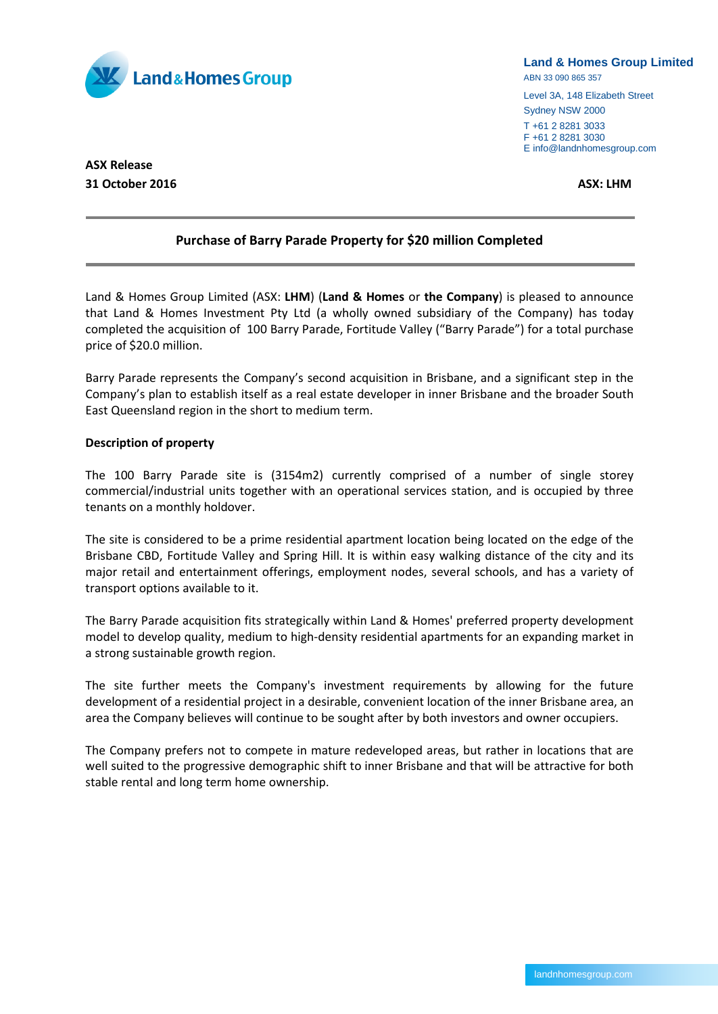

#### **Land & Homes Group Limited**

ABN 33 090 865 357

Level 3A, 148 Elizabeth Street Sydney NSW 2000 T +61 2 8281 3033

F +61 2 8281 3030 E info@landnhomesgroup.com

# **ASX Release 31 October 2016 ASX: LHM**

## **Purchase of Barry Parade Property for \$20 million Completed**

Land & Homes Group Limited (ASX: **LHM**) (**Land & Homes** or **the Company**) is pleased to announce that Land & Homes Investment Pty Ltd (a wholly owned subsidiary of the Company) has today completed the acquisition of 100 Barry Parade, Fortitude Valley ("Barry Parade") for a total purchase price of \$20.0 million.

Barry Parade represents the Company's second acquisition in Brisbane, and a significant step in the Company's plan to establish itself as a real estate developer in inner Brisbane and the broader South East Queensland region in the short to medium term.

## **Description of property**

The 100 Barry Parade site is (3154m2) currently comprised of a number of single storey commercial/industrial units together with an operational services station, and is occupied by three tenants on a monthly holdover.

The site is considered to be a prime residential apartment location being located on the edge of the Brisbane CBD, Fortitude Valley and Spring Hill. It is within easy walking distance of the city and its major retail and entertainment offerings, employment nodes, several schools, and has a variety of transport options available to it.

The Barry Parade acquisition fits strategically within Land & Homes' preferred property development model to develop quality, medium to high-density residential apartments for an expanding market in a strong sustainable growth region.

The site further meets the Company's investment requirements by allowing for the future development of a residential project in a desirable, convenient location of the inner Brisbane area, an area the Company believes will continue to be sought after by both investors and owner occupiers.

The Company prefers not to compete in mature redeveloped areas, but rather in locations that are well suited to the progressive demographic shift to inner Brisbane and that will be attractive for both stable rental and long term home ownership.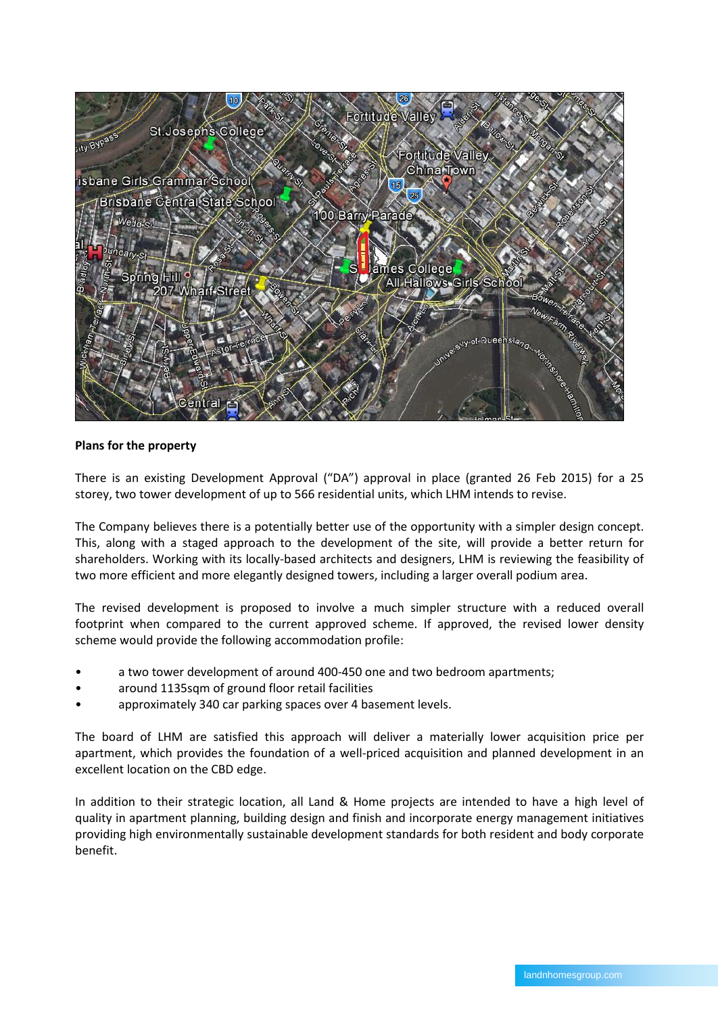

## **Plans for the property**

There is an existing Development Approval ("DA") approval in place (granted 26 Feb 2015) for a 25 storey, two tower development of up to 566 residential units, which LHM intends to revise.

The Company believes there is a potentially better use of the opportunity with a simpler design concept. This, along with a staged approach to the development of the site, will provide a better return for shareholders. Working with its locally-based architects and designers, LHM is reviewing the feasibility of two more efficient and more elegantly designed towers, including a larger overall podium area.

The revised development is proposed to involve a much simpler structure with a reduced overall footprint when compared to the current approved scheme. If approved, the revised lower density scheme would provide the following accommodation profile:

- a two tower development of around 400-450 one and two bedroom apartments;
- around 1135sqm of ground floor retail facilities
- approximately 340 car parking spaces over 4 basement levels.

The board of LHM are satisfied this approach will deliver a materially lower acquisition price per apartment, which provides the foundation of a well-priced acquisition and planned development in an excellent location on the CBD edge.

In addition to their strategic location, all Land & Home projects are intended to have a high level of quality in apartment planning, building design and finish and incorporate energy management initiatives providing high environmentally sustainable development standards for both resident and body corporate benefit.